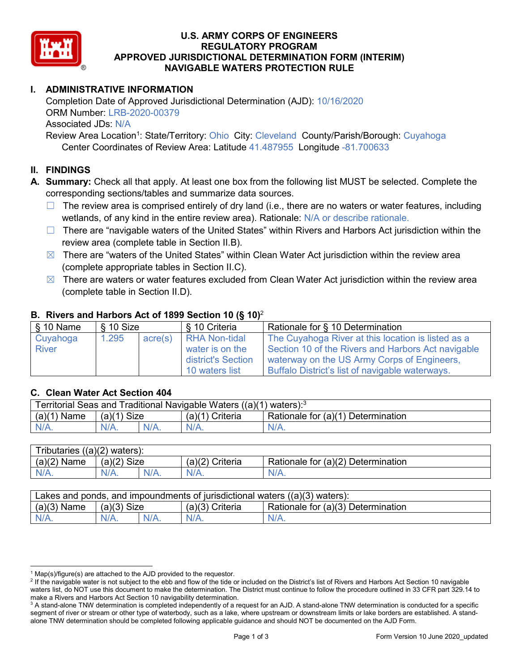

### **U.S. ARMY CORPS OF ENGINEERS REGULATORY PROGRAM APPROVED JURISDICTIONAL DETERMINATION FORM (INTERIM) NAVIGABLE WATERS PROTECTION RULE**

## **I. ADMINISTRATIVE INFORMATION**

Completion Date of Approved Jurisdictional Determination (AJD): 10/16/2020 ORM Number: LRB-2020-00379 Associated JDs: N/A

Review Area Location<sup>1</sup>: State/Territory: Ohio City: Cleveland County/Parish/Borough: Cuyahoga Center Coordinates of Review Area: Latitude 41.487955 Longitude -81.700633

### **II. FINDINGS**

**A. Summary:** Check all that apply. At least one box from the following list MUST be selected. Complete the corresponding sections/tables and summarize data sources.

- $\Box$  The review area is comprised entirely of dry land (i.e., there are no waters or water features, including wetlands, of any kind in the entire review area). Rationale: N/A or describe rationale.
- $\Box$  There are "navigable waters of the United States" within Rivers and Harbors Act jurisdiction within the review area (complete table in Section II.B).
- $\boxtimes$  There are "waters of the United States" within Clean Water Act jurisdiction within the review area (complete appropriate tables in Section II.C).
- $\boxtimes$  There are waters or water features excluded from Clean Water Act jurisdiction within the review area (complete table in Section II.D).

| $\frac{1}{2}$ 10 Name    | § 10 Size |         | § 10 Criteria                                                 | Rationale for § 10 Determination                                                                                                                        |
|--------------------------|-----------|---------|---------------------------------------------------------------|---------------------------------------------------------------------------------------------------------------------------------------------------------|
| Cuyahoga<br><b>River</b> | 1.295     | acre(s) | <b>RHA Non-tidal</b><br>water is on the<br>district's Section | The Cuyahoga River at this location is listed as a<br>Section 10 of the Rivers and Harbors Act navigable<br>waterway on the US Army Corps of Engineers, |
|                          |           |         | 10 waters list                                                | Buffalo District's list of navigable waterways.                                                                                                         |

### **B. Rivers and Harbors Act of 1899 Section 10 (§ 10)**<sup>2</sup>

### **C. Clean Water Act Section 404**

| Ferritorial Seas and Traditional Navigable Waters ((a)(1) waters): $3$ |               |         |                 |                                    |  |
|------------------------------------------------------------------------|---------------|---------|-----------------|------------------------------------|--|
| $(a)(1)$ Name                                                          | $(a)(1)$ Size |         | (a)(1) Criteria | Rationale for (a)(1) Determination |  |
| $N/A$ .                                                                |               | $N/A$ . | $N/A$ .         | $N/A$ .                            |  |

| Tributaries $((a)(2)$ waters): |               |      |                 |                                    |  |
|--------------------------------|---------------|------|-----------------|------------------------------------|--|
| $(a)(2)$ Name                  | $(a)(2)$ Size |      | (a)(2) Criteria | Rationale for (a)(2) Determination |  |
| $N/A$ .                        | $N/A$ .       | N/A. | $N/A$ .         | $N/A$ .                            |  |

| Lakes and ponds, and impoundments of jurisdictional waters $((a)(3)$ waters): |               |  |                   |                                    |  |
|-------------------------------------------------------------------------------|---------------|--|-------------------|------------------------------------|--|
| $(a)(3)$ Name                                                                 | $(a)(3)$ Size |  | $(a)(3)$ Criteria | Rationale for (a)(3) Determination |  |
| $N/A$ .                                                                       | $N/A$ .       |  | $N/A$ .           | $N/A$ .                            |  |

 $1$  Map(s)/figure(s) are attached to the AJD provided to the requestor.

<sup>&</sup>lt;sup>2</sup> If the navigable water is not subject to the ebb and flow of the tide or included on the District's list of Rivers and Harbors Act Section 10 navigable waters list, do NOT use this document to make the determination. The District must continue to follow the procedure outlined in 33 CFR part 329.14 to make a Rivers and Harbors Act Section 10 navigability determination.

<sup>&</sup>lt;sup>3</sup> A stand-alone TNW determination is completed independently of a request for an AJD. A stand-alone TNW determination is conducted for a specific segment of river or stream or other type of waterbody, such as a lake, where upstream or downstream limits or lake borders are established. A standalone TNW determination should be completed following applicable guidance and should NOT be documented on the AJD Form.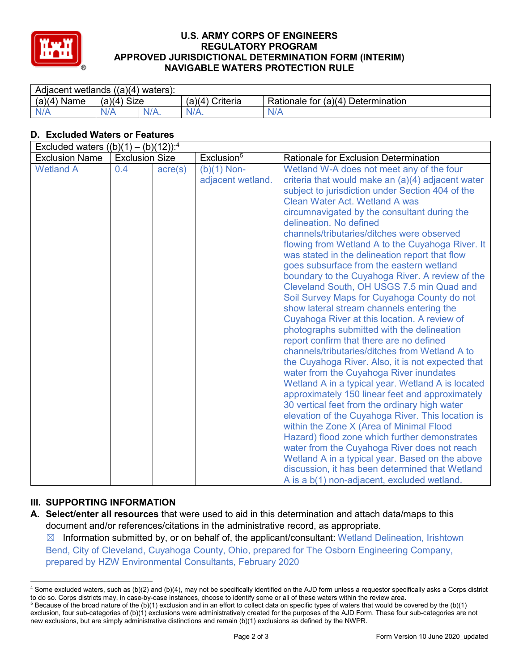

### **U.S. ARMY CORPS OF ENGINEERS REGULATORY PROGRAM APPROVED JURISDICTIONAL DETERMINATION FORM (INTERIM) NAVIGABLE WATERS PROTECTION RULE**

| Adjacent wetlands $((a)(4)$ waters): |                       |         |                    |                                    |  |  |
|--------------------------------------|-----------------------|---------|--------------------|------------------------------------|--|--|
| (a)(4)<br>Name                       | <b>Size</b><br>(a)(4) |         | Criteria<br>(a)(4) | Rationale for (a)(4) Determination |  |  |
| N/A                                  | N/A                   | $N/A$ . | $N/A$ .            | N/A                                |  |  |

# **D. Excluded Waters or Features**

| Excluded waters $((b)(1) - (b)(12))$ : <sup>4</sup> |                       |                  |                                    |                                                                                                                                                                                                                                                                                                                                                                                                                                                                                                                                                                                                                                                                                                                                                                                                                                                                                                                                                                                                                                                                                                                                                                                                                                                                                                                                                                                                                                                                                  |  |
|-----------------------------------------------------|-----------------------|------------------|------------------------------------|----------------------------------------------------------------------------------------------------------------------------------------------------------------------------------------------------------------------------------------------------------------------------------------------------------------------------------------------------------------------------------------------------------------------------------------------------------------------------------------------------------------------------------------------------------------------------------------------------------------------------------------------------------------------------------------------------------------------------------------------------------------------------------------------------------------------------------------------------------------------------------------------------------------------------------------------------------------------------------------------------------------------------------------------------------------------------------------------------------------------------------------------------------------------------------------------------------------------------------------------------------------------------------------------------------------------------------------------------------------------------------------------------------------------------------------------------------------------------------|--|
| <b>Exclusion Name</b>                               | <b>Exclusion Size</b> |                  | Exclusion <sup>5</sup>             | <b>Rationale for Exclusion Determination</b>                                                                                                                                                                                                                                                                                                                                                                                                                                                                                                                                                                                                                                                                                                                                                                                                                                                                                                                                                                                                                                                                                                                                                                                                                                                                                                                                                                                                                                     |  |
| <b>Wetland A</b>                                    | 0.4                   | $\text{acre}(s)$ | $(b)(1)$ Non-<br>adjacent wetland. | Wetland W-A does not meet any of the four<br>criteria that would make an $(a)(4)$ adjacent water<br>subject to jurisdiction under Section 404 of the<br><b>Clean Water Act. Wetland A was</b><br>circumnavigated by the consultant during the<br>delineation. No defined<br>channels/tributaries/ditches were observed<br>flowing from Wetland A to the Cuyahoga River. It<br>was stated in the delineation report that flow<br>goes subsurface from the eastern wetland<br>boundary to the Cuyahoga River. A review of the<br>Cleveland South, OH USGS 7.5 min Quad and<br>Soil Survey Maps for Cuyahoga County do not<br>show lateral stream channels entering the<br>Cuyahoga River at this location. A review of<br>photographs submitted with the delineation<br>report confirm that there are no defined<br>channels/tributaries/ditches from Wetland A to<br>the Cuyahoga River. Also, it is not expected that<br>water from the Cuyahoga River inundates<br>Wetland A in a typical year. Wetland A is located<br>approximately 150 linear feet and approximately<br>30 vertical feet from the ordinary high water<br>elevation of the Cuyahoga River. This location is<br>within the Zone X (Area of Minimal Flood<br>Hazard) flood zone which further demonstrates<br>water from the Cuyahoga River does not reach<br>Wetland A in a typical year. Based on the above<br>discussion, it has been determined that Wetland<br>A is a b(1) non-adjacent, excluded wetland. |  |

# **III. SUPPORTING INFORMATION**

 $\boxtimes$  Information submitted by, or on behalf of, the applicant/consultant: Wetland Delineation, Irishtown Bend, City of Cleveland, Cuyahoga County, Ohio, prepared for The Osborn Engineering Company, prepared by HZW Environmental Consultants, February 2020

**A. Select/enter all resources** that were used to aid in this determination and attach data/maps to this document and/or references/citations in the administrative record, as appropriate.

 <sup>4</sup> Some excluded waters, such as (b)(2) and (b)(4), may not be specifically identified on the AJD form unless a requestor specifically asks a Corps district to do so. Corps districts may, in case-by-case instances, choose to identify some or all of these waters within the review area.

 $5$  Because of the broad nature of the (b)(1) exclusion and in an effort to collect data on specific types of waters that would be covered by the (b)(1) exclusion, four sub-categories of (b)(1) exclusions were administratively created for the purposes of the AJD Form. These four sub-categories are not new exclusions, but are simply administrative distinctions and remain (b)(1) exclusions as defined by the NWPR.